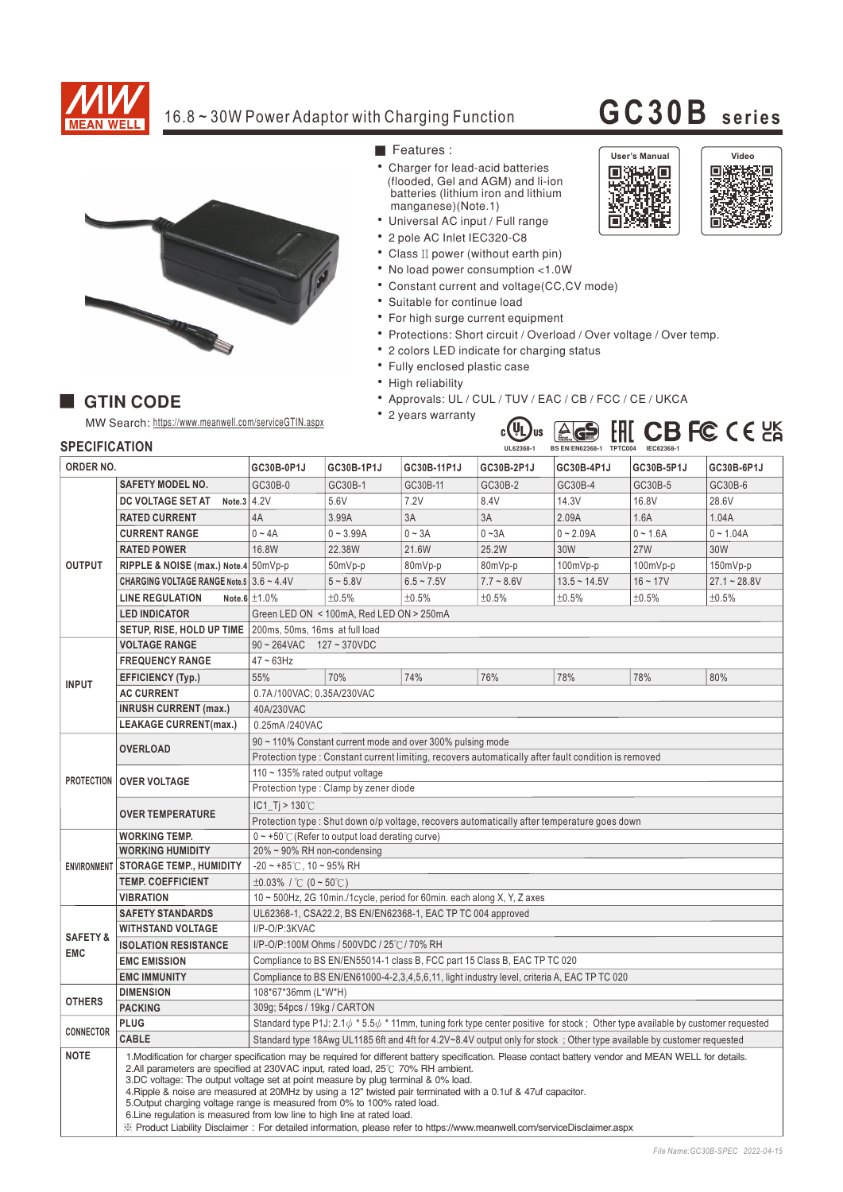

## 16.8~30W Power Adaptor with Charging Function **GC30B** series

誘挤 m

User's Manual **Video**<br>- **USHAND DESCRIPTION**<br>- <del>USHAND</del> DESCRIPTION<br>- POLITICITY DESCRIPTION<br>- POLITICITY DESCRIPTION

į. 回路



#### **GTIN CODE**

MW Search: https://www.meanwell.com/serviceGTIN.aspx



- Charger for lead-acid batteries (flooded, Gel and AGM) and li-ion batteries (lithium iron and lithium manganese)(Note.1)
- Universal AC input / Full range
- 2 pole AC Inlet IEC320-C8
- Class II power (without earth pin)
- No load power consumption <1.0W
- Constant current and voltage(CC,CV mode)
- Suitable for continue load
- For high surge current equipment
- Protections: Short circuit / Overload / Over voltage / Over temp.
- 2 colors LED indicate for charging status
- Fully enclosed plastic case
- High reliability
- Approvals: UL / CUL / TUV / EAC / CB / FCC / CE / UKCA
- 2 years warranty



### **SPECIFICATION**

| ORDER NO.                         |                                                                                                                                                                                                                                                                                                                                                                                                                                                                                                                                                                                                                       | GC30B-0P1J                                                                                                                                | GC30B-1P1J  | GC30B-11P1J     | GC30B-2P1J   | GC30B-4P1J     | GC30B-5P1J | GC30B-6P1J     |
|-----------------------------------|-----------------------------------------------------------------------------------------------------------------------------------------------------------------------------------------------------------------------------------------------------------------------------------------------------------------------------------------------------------------------------------------------------------------------------------------------------------------------------------------------------------------------------------------------------------------------------------------------------------------------|-------------------------------------------------------------------------------------------------------------------------------------------|-------------|-----------------|--------------|----------------|------------|----------------|
|                                   | <b>SAFETY MODEL NO.</b>                                                                                                                                                                                                                                                                                                                                                                                                                                                                                                                                                                                               | GC30B-0                                                                                                                                   | GC30B-1     | GC30B-11        | GC30B-2      | GC30B-4        | GC30B-5    | GC30B-6        |
| <b>OUTPUT</b>                     | Note.3 $4.2V$<br>DC VOLTAGE SET AT                                                                                                                                                                                                                                                                                                                                                                                                                                                                                                                                                                                    |                                                                                                                                           | 5.6V        | 7.2V            | 8.4V         | 14.3V          | 16.8V      | 28.6V          |
|                                   | <b>RATED CURRENT</b>                                                                                                                                                                                                                                                                                                                                                                                                                                                                                                                                                                                                  | 4A                                                                                                                                        | 3.99A       | 3A              | 3A           | 2.09A          | 1.6A       | 1.04A          |
|                                   | <b>CURRENT RANGE</b>                                                                                                                                                                                                                                                                                                                                                                                                                                                                                                                                                                                                  | $0 - 4A$                                                                                                                                  | $0 - 3.99A$ | $0 - 3A$        | $0 - 3A$     | $0 - 2.09A$    | $0 - 1.6A$ | $0 - 1.04A$    |
|                                   | <b>RATED POWER</b>                                                                                                                                                                                                                                                                                                                                                                                                                                                                                                                                                                                                    | 16.8W                                                                                                                                     | 22.38W      | 21.6W           | 25.2W        | 30W            | <b>27W</b> | 30W            |
|                                   | RIPPLE & NOISE (max.) Note.4 50mVp-p                                                                                                                                                                                                                                                                                                                                                                                                                                                                                                                                                                                  |                                                                                                                                           | 50mVp-p     | 80mVp-p         | 80mVp-p      | $100mVp-p$     | 100mVp-p   | $150mVp-p$     |
|                                   | CHARGING VOLTAGE RANGE Note.5 3.6 ~ 4.4V                                                                                                                                                                                                                                                                                                                                                                                                                                                                                                                                                                              |                                                                                                                                           | $5 - 5.8V$  | $6.5 \sim 7.5V$ | $7.7 - 8.6V$ | $13.5 - 14.5V$ | $16 - 17V$ | $27.1 - 28.8V$ |
|                                   | <b>LINE REGULATION</b>                                                                                                                                                                                                                                                                                                                                                                                                                                                                                                                                                                                                | Note.6 $\pm 1.0\%$                                                                                                                        | ±0.5%       | ±0.5%           | ±0.5%        | ±0.5%          | ±0.5%      | ±0.5%          |
|                                   | <b>LED INDICATOR</b>                                                                                                                                                                                                                                                                                                                                                                                                                                                                                                                                                                                                  | Green LED ON < 100mA, Red LED ON > 250mA                                                                                                  |             |                 |              |                |            |                |
|                                   | SETUP, RISE, HOLD UP TIME                                                                                                                                                                                                                                                                                                                                                                                                                                                                                                                                                                                             | 200ms, 50ms, 16ms at full load                                                                                                            |             |                 |              |                |            |                |
|                                   | <b>VOLTAGE RANGE</b>                                                                                                                                                                                                                                                                                                                                                                                                                                                                                                                                                                                                  | $90 \sim 264$ VAC<br>127~370VDC                                                                                                           |             |                 |              |                |            |                |
| <b>INPUT</b>                      | <b>FREQUENCY RANGE</b>                                                                                                                                                                                                                                                                                                                                                                                                                                                                                                                                                                                                | $47 \sim 63$ Hz                                                                                                                           |             |                 |              |                |            |                |
|                                   | <b>EFFICIENCY (Typ.)</b>                                                                                                                                                                                                                                                                                                                                                                                                                                                                                                                                                                                              | 55%                                                                                                                                       | 70%         | 74%             | 76%          | 78%            | 78%        | 80%            |
|                                   | <b>AC CURRENT</b>                                                                                                                                                                                                                                                                                                                                                                                                                                                                                                                                                                                                     | 0.7A/100VAC: 0.35A/230VAC                                                                                                                 |             |                 |              |                |            |                |
|                                   | <b>INRUSH CURRENT (max.)</b>                                                                                                                                                                                                                                                                                                                                                                                                                                                                                                                                                                                          | 40A/230VAC                                                                                                                                |             |                 |              |                |            |                |
|                                   | <b>LEAKAGE CURRENT(max.)</b>                                                                                                                                                                                                                                                                                                                                                                                                                                                                                                                                                                                          | 0.25mA/240VAC                                                                                                                             |             |                 |              |                |            |                |
| PROTECTION   OVER VOLTAGE         | <b>OVERLOAD</b>                                                                                                                                                                                                                                                                                                                                                                                                                                                                                                                                                                                                       | 90 ~ 110% Constant current mode and over 300% pulsing mode                                                                                |             |                 |              |                |            |                |
|                                   |                                                                                                                                                                                                                                                                                                                                                                                                                                                                                                                                                                                                                       | Protection type : Constant current limiting, recovers automatically after fault condition is removed                                      |             |                 |              |                |            |                |
|                                   |                                                                                                                                                                                                                                                                                                                                                                                                                                                                                                                                                                                                                       | 110 ~ 135% rated output voltage                                                                                                           |             |                 |              |                |            |                |
|                                   |                                                                                                                                                                                                                                                                                                                                                                                                                                                                                                                                                                                                                       | Protection type: Clamp by zener diode                                                                                                     |             |                 |              |                |            |                |
|                                   | <b>OVER TEMPERATURE</b>                                                                                                                                                                                                                                                                                                                                                                                                                                                                                                                                                                                               | IC1 Ti > $130^{\circ}$ C                                                                                                                  |             |                 |              |                |            |                |
|                                   |                                                                                                                                                                                                                                                                                                                                                                                                                                                                                                                                                                                                                       | Protection type: Shut down o/p voltage, recovers automatically after temperature goes down                                                |             |                 |              |                |            |                |
| <b>ENVIRONMENT</b>                | <b>WORKING TEMP.</b>                                                                                                                                                                                                                                                                                                                                                                                                                                                                                                                                                                                                  | $0 \sim +50^{\circ}$ (Refer to output load derating curve)                                                                                |             |                 |              |                |            |                |
|                                   | <b>WORKING HUMIDITY</b>                                                                                                                                                                                                                                                                                                                                                                                                                                                                                                                                                                                               | 20% ~ 90% RH non-condensing                                                                                                               |             |                 |              |                |            |                |
|                                   | <b>STORAGE TEMP., HUMIDITY</b>                                                                                                                                                                                                                                                                                                                                                                                                                                                                                                                                                                                        | $-20 \sim +85^{\circ}$ C, 10 ~ 95% RH                                                                                                     |             |                 |              |                |            |                |
|                                   | <b>TEMP. COEFFICIENT</b>                                                                                                                                                                                                                                                                                                                                                                                                                                                                                                                                                                                              | $\pm 0.03\%$ / °C (0 ~ 50°C)                                                                                                              |             |                 |              |                |            |                |
|                                   | <b>VIBRATION</b>                                                                                                                                                                                                                                                                                                                                                                                                                                                                                                                                                                                                      | 10 ~ 500Hz, 2G 10min./1cycle, period for 60min. each along X, Y, Z axes                                                                   |             |                 |              |                |            |                |
| <b>SAFETY &amp;</b><br><b>EMC</b> | <b>SAFETY STANDARDS</b>                                                                                                                                                                                                                                                                                                                                                                                                                                                                                                                                                                                               | UL62368-1, CSA22.2, BS EN/EN62368-1, EAC TP TC 004 approved                                                                               |             |                 |              |                |            |                |
|                                   | <b>WITHSTAND VOLTAGE</b>                                                                                                                                                                                                                                                                                                                                                                                                                                                                                                                                                                                              | I/P-O/P:3KVAC                                                                                                                             |             |                 |              |                |            |                |
|                                   | <b>ISOLATION RESISTANCE</b>                                                                                                                                                                                                                                                                                                                                                                                                                                                                                                                                                                                           | I/P-O/P:100M Ohms / 500VDC / 25°C / 70% RH                                                                                                |             |                 |              |                |            |                |
|                                   | <b>EMC EMISSION</b>                                                                                                                                                                                                                                                                                                                                                                                                                                                                                                                                                                                                   | Compliance to BS EN/EN55014-1 class B, FCC part 15 Class B, EAC TP TC 020                                                                 |             |                 |              |                |            |                |
|                                   | <b>EMC IMMUNITY</b>                                                                                                                                                                                                                                                                                                                                                                                                                                                                                                                                                                                                   | Compliance to BS EN/EN61000-4-2,3,4,5,6,11, light industry level, criteria A, EAC TP TC 020                                               |             |                 |              |                |            |                |
| <b>OTHERS</b>                     | <b>DIMENSION</b>                                                                                                                                                                                                                                                                                                                                                                                                                                                                                                                                                                                                      | 108*67*36mm (L*W*H)                                                                                                                       |             |                 |              |                |            |                |
| <b>CONNECTOR</b>                  | <b>PACKING</b><br><b>PLUG</b>                                                                                                                                                                                                                                                                                                                                                                                                                                                                                                                                                                                         | 309g; 54pcs / 19kg / CARTON                                                                                                               |             |                 |              |                |            |                |
|                                   | <b>CABLE</b>                                                                                                                                                                                                                                                                                                                                                                                                                                                                                                                                                                                                          | Standard type P1J: 2.1 $\phi$ * 5.5 $\phi$ * 11mm, tuning fork type center positive for stock; Other type available by customer requested |             |                 |              |                |            |                |
| <b>NOTE</b>                       |                                                                                                                                                                                                                                                                                                                                                                                                                                                                                                                                                                                                                       | Standard type 18Awg UL1185 6ft and 4ft for 4.2V~8.4V output only for stock ; Other type available by customer requested                   |             |                 |              |                |            |                |
|                                   | 1. Modification for charger specification may be required for different battery specification. Please contact battery vendor and MEAN WELL for details.<br>2. All parameters are specified at 230 VAC input, rated load, $25^{\circ}$ C 70% RH ambient.<br>3.DC voltage: The output voltage set at point measure by plug terminal & 0% load.<br>4. Ripple & noise are measured at 20MHz by using a 12" twisted pair terminated with a 0.1uf & 47uf capacitor.<br>5. Output charging voltage range is measured from 0% to 100% rated load.<br>6. Line regulation is measured from low line to high line at rated load. |                                                                                                                                           |             |                 |              |                |            |                |
|                                   | X Product Liability Disclaimer: For detailed information, please refer to https://www.meanwell.com/serviceDisclaimer.aspx                                                                                                                                                                                                                                                                                                                                                                                                                                                                                             |                                                                                                                                           |             |                 |              |                |            |                |